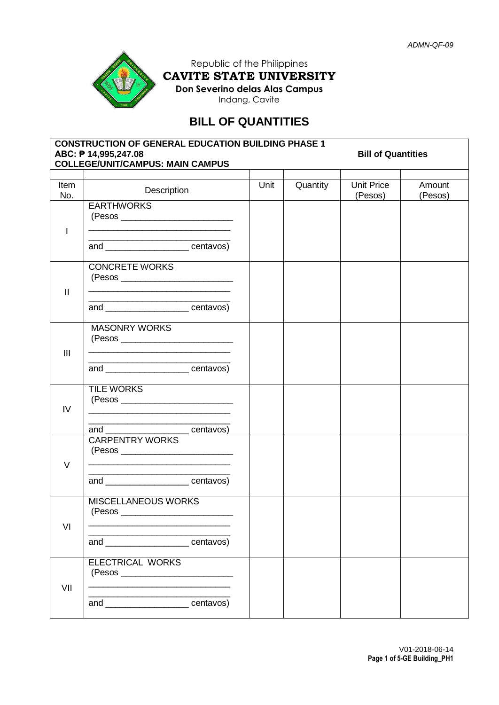

Republic of the Philippines **CAVITE STATE UNIVERSITY Don Severino delas Alas Campus** Indang, Cavite

# **BILL OF QUANTITIES**

| <b>CONSTRUCTION OF GENERAL EDUCATION BUILDING PHASE 1</b><br>ABC: P 14,995,247.08<br><b>Bill of Quantities</b><br><b>COLLEGE/UNIT/CAMPUS: MAIN CAMPUS</b> |                                                                                                                                                                                                        |      |          |                              |                   |  |  |  |
|-----------------------------------------------------------------------------------------------------------------------------------------------------------|--------------------------------------------------------------------------------------------------------------------------------------------------------------------------------------------------------|------|----------|------------------------------|-------------------|--|--|--|
|                                                                                                                                                           |                                                                                                                                                                                                        |      |          |                              |                   |  |  |  |
| Item<br>No.                                                                                                                                               | Description                                                                                                                                                                                            | Unit | Quantity | <b>Unit Price</b><br>(Pesos) | Amount<br>(Pesos) |  |  |  |
| $\mathbf{I}$                                                                                                                                              | <b>EARTHWORKS</b><br><u> 1989 - Johann Stein, mars an deutscher Stein und der Stein und der Stein und der Stein und der Stein und der</u><br><u> 1989 - Johann John Stone, mensk politik (d. 1989)</u> |      |          |                              |                   |  |  |  |
|                                                                                                                                                           | and ________________________centavos)                                                                                                                                                                  |      |          |                              |                   |  |  |  |
| $\mathbf{II}$                                                                                                                                             | <b>CONCRETE WORKS</b>                                                                                                                                                                                  |      |          |                              |                   |  |  |  |
|                                                                                                                                                           | and _______________________ centavos)                                                                                                                                                                  |      |          |                              |                   |  |  |  |
| III                                                                                                                                                       | <b>MASONRY WORKS</b><br>and _______________________centavos)                                                                                                                                           |      |          |                              |                   |  |  |  |
|                                                                                                                                                           |                                                                                                                                                                                                        |      |          |                              |                   |  |  |  |
| IV                                                                                                                                                        | <b>TILE WORKS</b><br><u> 1989 - Johann Stoff, Amerikaansk politiker (* 1908)</u>                                                                                                                       |      |          |                              |                   |  |  |  |
|                                                                                                                                                           | and _______________________centavos)                                                                                                                                                                   |      |          |                              |                   |  |  |  |
| $\vee$                                                                                                                                                    | <b>CARPENTRY WORKS</b>                                                                                                                                                                                 |      |          |                              |                   |  |  |  |
|                                                                                                                                                           | <u> 1989 - Johann John Harry, meny amin'ny fivondronan-kaominin'i Paris (no ben'ny fivondronan-kaominin'i Paris (</u><br>and ___________________centavos)                                              |      |          |                              |                   |  |  |  |
| VI                                                                                                                                                        | <b>MISCELLANEOUS WORKS</b><br>(Pesos                                                                                                                                                                   |      |          |                              |                   |  |  |  |
|                                                                                                                                                           | and _____________________centavos)                                                                                                                                                                     |      |          |                              |                   |  |  |  |
| VII                                                                                                                                                       | ELECTRICAL WORKS                                                                                                                                                                                       |      |          |                              |                   |  |  |  |
|                                                                                                                                                           | and _____________________centavos)                                                                                                                                                                     |      |          |                              |                   |  |  |  |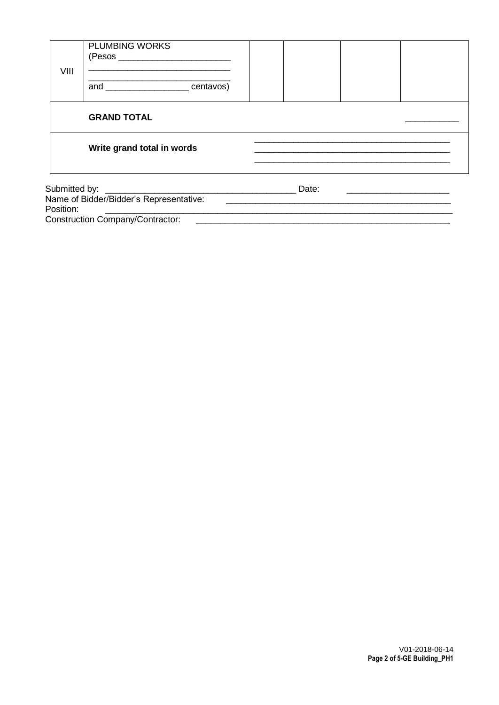| VIII                                    | <b>PLUMBING WORKS</b>               |       |  |
|-----------------------------------------|-------------------------------------|-------|--|
|                                         | and ______________________centavos) |       |  |
|                                         | <b>GRAND TOTAL</b>                  |       |  |
|                                         | Write grand total in words          |       |  |
| Name of Bidder/Bidder's Representative: |                                     | Date: |  |

Position: Construction Company/Contractor:

V01-2018-06-14<br>Page 2 of 5-GE Building\_PH1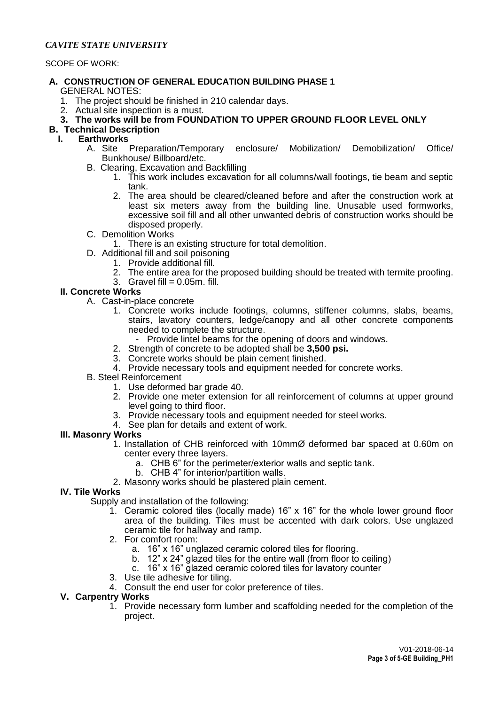## *CAVITE STATE UNIVERSITY*

SCOPE OF WORK:

- **A. CONSTRUCTION OF GENERAL EDUCATION BUILDING PHASE 1** GENERAL NOTES:
	- 1. The project should be finished in 210 calendar days.
	- 2. Actual site inspection is a must.
	- **3. The works will be from FOUNDATION TO UPPER GROUND FLOOR LEVEL ONLY**
- **B. Technical Description**

## **I. Earthworks**

- A. Site Preparation/Temporary enclosure/ Mobilization/ Demobilization/ Office/ Bunkhouse/ Billboard/etc.
- B.Clearing, Excavation and Backfilling
	- 1. This work includes excavation for all columns/wall footings, tie beam and septic tank.
	- 2. The area should be cleared/cleaned before and after the construction work at least six meters away from the building line. Unusable used formworks, excessive soil fill and all other unwanted debris of construction works should be disposed properly.
- C. Demolition Works
	- 1. There is an existing structure for total demolition.
- D. Additional fill and soil poisoning
	- 1. Provide additional fill.
	- 2. The entire area for the proposed building should be treated with termite proofing.
	- 3. Gravel fill  $= 0.05$ m. fill.

# **II. Concrete Works**

- A. Cast-in-place concrete
	- 1. Concrete works include footings, columns, stiffener columns, slabs, beams, stairs, lavatory counters, ledge/canopy and all other concrete components needed to complete the structure.
		- Provide lintel beams for the opening of doors and windows.
	- 2. Strength of concrete to be adopted shall be **3,500 psi.**
	- 3. Concrete works should be plain cement finished.
	- 4. Provide necessary tools and equipment needed for concrete works.
- B. Steel Reinforcement
	- 1. Use deformed bar grade 40.
	- 2. Provide one meter extension for all reinforcement of columns at upper ground level going to third floor.
	- 3. Provide necessary tools and equipment needed for steel works.
	- 4. See plan for details and extent of work.

#### **III. Masonry Works**

- 1. Installation of CHB reinforced with 10mmØ deformed bar spaced at 0.60m on center every three layers.
	- a. CHB 6" for the perimeter/exterior walls and septic tank.
	- b. CHB 4" for interior/partition walls.
- 2. Masonry works should be plastered plain cement.

#### **IV. Tile Works**

- Supply and installation of the following:
	- 1. Ceramic colored tiles (locally made) 16" x 16" for the whole lower ground floor area of the building. Tiles must be accented with dark colors. Use unglazed ceramic tile for hallway and ramp.
	- 2. For comfort room:
		- a. 16" x 16" unglazed ceramic colored tiles for flooring.
		- b. 12" x 24" glazed tiles for the entire wall (from floor to ceiling)
		- c. 16" x 16" glazed ceramic colored tiles for lavatory counter
	- 3. Use tile adhesive for tiling.
	- 4. Consult the end user for color preference of tiles.

# **V. Carpentry Works**

1. Provide necessary form lumber and scaffolding needed for the completion of the project.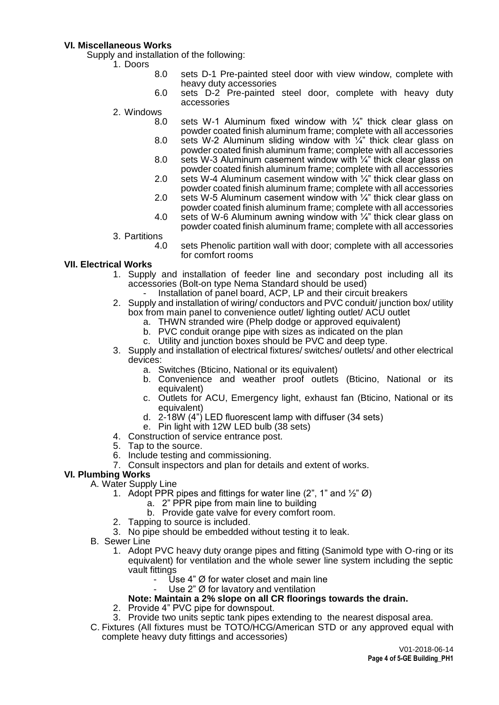#### **VI. Miscellaneous Works**

Supply and installation of the following:

- 1. Doors
	- 8.0 sets D-1 Pre-painted steel door with view window, complete with heavy duty accessories
	- 6.0 sets D-2 Pre-painted steel door, complete with heavy duty accessories
	- 2. Windows
		- 8.0 sets W-1 Aluminum fixed window with 1/4" thick clear glass on powder coated finish aluminum frame; complete with all accessories 8.0 sets W-2 Aluminum sliding window with ¼" thick clear glass on powder coated finish aluminum frame; complete with all accessories
		- 8.0 sets W-3 Aluminum casement window with 1/4" thick clear glass on powder coated finish aluminum frame; complete with all accessories
		- 2.0 sets W-4 Aluminum casement window with ¼" thick clear glass on powder coated finish aluminum frame; complete with all accessories
		- 2.0 sets W-5 Aluminum casement window with  $\frac{1}{4}$ " thick clear glass on powder coated finish aluminum frame; complete with all accessories
		- 4.0 sets of W-6 Aluminum awning window with  $\frac{1}{4}$ " thick clear glass on powder coated finish aluminum frame; complete with all accessories
	- 3. Partitions
		- sets Phenolic partition wall with door; complete with all accessories for comfort rooms

## **VII. Electrical Works**

- 1. Supply and installation of feeder line and secondary post including all its accessories (Bolt-on type Nema Standard should be used)
	- Installation of panel board, ACP, LP and their circuit breakers
- 2. Supply and installation of wiring/ conductors and PVC conduit/ junction box/ utility box from main panel to convenience outlet/ lighting outlet/ ACU outlet
	- a. THWN stranded wire (Phelp dodge or approved equivalent)
	- b. PVC conduit orange pipe with sizes as indicated on the plan
	- c. Utility and junction boxes should be PVC and deep type.
- 3. Supply and installation of electrical fixtures/ switches/ outlets/ and other electrical devices:
	- a. Switches (Bticino, National or its equivalent)
	- b. Convenience and weather proof outlets (Bticino, National or its equivalent)
	- c. Outlets for ACU, Emergency light, exhaust fan (Bticino, National or its equivalent)
	- d. 2-18W (4") LED fluorescent lamp with diffuser (34 sets)
	- e. Pin light with 12W LED bulb (38 sets)
- 4. Construction of service entrance post.
- 5. Tap to the source.
- 6. Include testing and commissioning.
- 7. Consult inspectors and plan for details and extent of works.

# **VI. Plumbing Works**

- A. Water Supply Line
	- 1. Adopt PPR pipes and fittings for water line (2", 1" and  $\frac{1}{2}$ " Ø)
		- a. 2" PPR pipe from main line to building
		- b. Provide gate valve for every comfort room.
	- 2. Tapping to source is included.
	- 3. No pipe should be embedded without testing it to leak.
- B. Sewer Line
	- 1. Adopt PVC heavy duty orange pipes and fitting (Sanimold type with O-ring or its equivalent) for ventilation and the whole sewer line system including the septic vault fittings
		- Use 4"  $\varnothing$  for water closet and main line
		- Use  $2$ "  $\emptyset$  for lavatory and ventilation

## **Note: Maintain a 2% slope on all CR floorings towards the drain.**

- 2. Provide 4" PVC pipe for downspout.
- 3. Provide two units septic tank pipes extending to the nearest disposal area.
- C. Fixtures (All fixtures must be TOTO/HCG/American STD or any approved equal with complete heavy duty fittings and accessories)